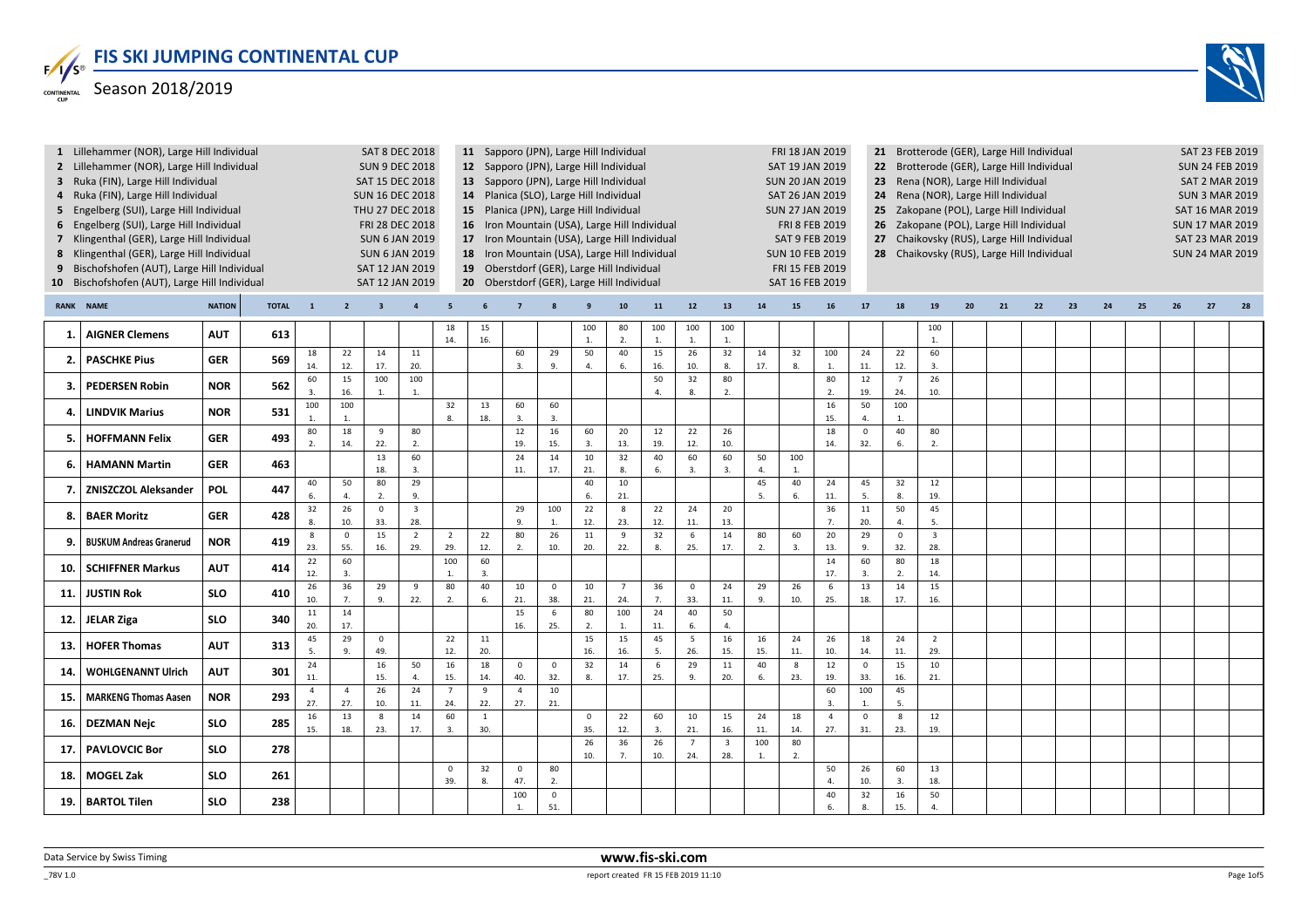

| 3<br>$\overline{4}$<br>5<br>$\overline{7}$<br>8<br>10 | 1 Lillehammer (NOR), Large Hill Individual<br>2 Lillehammer (NOR), Large Hill Individual<br>Ruka (FIN), Large Hill Individual<br>Ruka (FIN), Large Hill Individual<br>Engelberg (SUI), Large Hill Individual<br>6 Engelberg (SUI), Large Hill Individual<br>Klingenthal (GER), Large Hill Individual<br>Klingenthal (GER), Large Hill Individual<br>Bischofshofen (AUT), Large Hill Individual<br>Bischofshofen (AUT), Large Hill Individual |               |              |                               |                       |                         | <b>SAT 8 DEC 2018</b><br><b>SUN 9 DEC 2018</b><br>SAT 15 DEC 2018<br><b>SUN 16 DEC 2018</b><br>THU 27 DEC 2018<br>FRI 28 DEC 2018<br><b>SUN 6 JAN 2019</b><br><b>SUN 6 JAN 2019</b><br>SAT 12 JAN 2019<br>SAT 12 JAN 2019 |                       |                     | 11 Sapporo (JPN), Large Hill Individual<br>12 Sapporo (JPN), Large Hill Individual<br>13 Sapporo (JPN), Large Hill Individual<br>14 Planica (SLO), Large Hill Individual<br>15 Planica (JPN), Large Hill Individual<br>16 Iron Mountain (USA), Large Hill Individual<br>17 Iron Mountain (USA), Large Hill Individual<br>18 Iron Mountain (USA), Large Hill Individual<br>19 Oberstdorf (GER), Large Hill Individual<br>20 Oberstdorf (GER), Large Hill Individual |                      |                     |                       |                      |                       |                                |                      | FRI 18 JAN 2019<br><b>SAT 19 JAN 2019</b><br><b>SUN 20 JAN 2019</b><br>SAT 26 JAN 2019<br><b>SUN 27 JAN 2019</b><br><b>FRI 8 FEB 2019</b><br><b>SAT 9 FEB 2019</b><br><b>SUN 10 FEB 2019</b><br>FRI 15 FEB 2019<br>SAT 16 FEB 2019 |                       | 25<br>27              |                       | 21 Brotterode (GER), Large Hill Individual<br>22 Brotterode (GER), Large Hill Individual<br>23 Rena (NOR), Large Hill Individual<br>24 Rena (NOR), Large Hill Individual<br>Zakopane (POL), Large Hill Individual<br>26 Zakopane (POL), Large Hill Individual<br>Chaikovsky (RUS), Large Hill Individual<br>28 Chaikovsky (RUS), Large Hill Individual |    |    |    |    |    |    |    | SAT 23 FEB 2019<br><b>SUN 24 FEB 2019</b><br><b>SAT 2 MAR 2019</b><br><b>SUN 3 MAR 2019</b><br><b>SAT 16 MAR 2019</b><br><b>SUN 17 MAR 2019</b><br><b>SAT 23 MAR 2019</b><br><b>SUN 24 MAR 2019</b> |    |
|-------------------------------------------------------|----------------------------------------------------------------------------------------------------------------------------------------------------------------------------------------------------------------------------------------------------------------------------------------------------------------------------------------------------------------------------------------------------------------------------------------------|---------------|--------------|-------------------------------|-----------------------|-------------------------|---------------------------------------------------------------------------------------------------------------------------------------------------------------------------------------------------------------------------|-----------------------|---------------------|--------------------------------------------------------------------------------------------------------------------------------------------------------------------------------------------------------------------------------------------------------------------------------------------------------------------------------------------------------------------------------------------------------------------------------------------------------------------|----------------------|---------------------|-----------------------|----------------------|-----------------------|--------------------------------|----------------------|------------------------------------------------------------------------------------------------------------------------------------------------------------------------------------------------------------------------------------|-----------------------|-----------------------|-----------------------|--------------------------------------------------------------------------------------------------------------------------------------------------------------------------------------------------------------------------------------------------------------------------------------------------------------------------------------------------------|----|----|----|----|----|----|----|-----------------------------------------------------------------------------------------------------------------------------------------------------------------------------------------------------|----|
| <b>RANK</b>                                           | <b>NAME</b>                                                                                                                                                                                                                                                                                                                                                                                                                                  | <b>NATION</b> | <b>TOTAL</b> | $\overline{\mathbf{1}}$       | $\overline{2}$        | $\overline{\mathbf{3}}$ | $\overline{4}$                                                                                                                                                                                                            | 5                     |                     |                                                                                                                                                                                                                                                                                                                                                                                                                                                                    |                      |                     | 10                    | 11                   | 12                    | 13                             | ${\bf 14}$           | 15                                                                                                                                                                                                                                 | 16                    | 17                    | 18                    | 19                                                                                                                                                                                                                                                                                                                                                     | 20 | 21 | 22 | 23 | 24 | 25 | 26 | 27                                                                                                                                                                                                  | 28 |
| 1.                                                    | <b>AIGNER Clemens</b>                                                                                                                                                                                                                                                                                                                                                                                                                        | <b>AUT</b>    | 613          |                               |                       |                         |                                                                                                                                                                                                                           | 18<br>14.             | 15<br>16.           |                                                                                                                                                                                                                                                                                                                                                                                                                                                                    |                      | 100<br>$\mathbf{1}$ | 80<br>$\overline{2}$  | 100<br>$\mathbf{1}$  | 100                   | 100<br>$\mathbf{1}$            |                      |                                                                                                                                                                                                                                    |                       |                       |                       | 100<br>$\overline{1}$                                                                                                                                                                                                                                                                                                                                  |    |    |    |    |    |    |    |                                                                                                                                                                                                     |    |
| 2.                                                    | <b>PASCHKE Pius</b>                                                                                                                                                                                                                                                                                                                                                                                                                          | <b>GER</b>    | 569          | 18<br>14.                     | 22<br>12.             | 14<br>17.               | 11<br>20.                                                                                                                                                                                                                 |                       |                     | 60<br>$\overline{3}$ .                                                                                                                                                                                                                                                                                                                                                                                                                                             | 29<br>9.             | 50<br>4.            | 40<br>6.              | 15<br>16.            | 26<br>10.             | 32<br>8.                       | 14<br>17.            | 32<br>8                                                                                                                                                                                                                            | 100<br>$\mathbf{1}$   | 24<br>11.             | 22<br>12.             | 60<br>3.                                                                                                                                                                                                                                                                                                                                               |    |    |    |    |    |    |    |                                                                                                                                                                                                     |    |
| $\overline{\mathbf{3}}$                               | <b>PEDERSEN Robin</b>                                                                                                                                                                                                                                                                                                                                                                                                                        | <b>NOR</b>    | 562          | 60<br>$\overline{\mathbf{3}}$ | 15<br>16.             | 100<br>1.               | 100<br>$\mathbf{1}$ .                                                                                                                                                                                                     |                       |                     |                                                                                                                                                                                                                                                                                                                                                                                                                                                                    |                      |                     |                       | 50<br>$\overline{4}$ | 32<br>8               | 80<br>2.                       |                      |                                                                                                                                                                                                                                    | 80<br>2.              | 12<br>19.             | $\overline{7}$<br>24. | 26<br>10.                                                                                                                                                                                                                                                                                                                                              |    |    |    |    |    |    |    |                                                                                                                                                                                                     |    |
| 4.                                                    | <b>LINDVIK Marius</b>                                                                                                                                                                                                                                                                                                                                                                                                                        | <b>NOR</b>    | 531          | 100<br>$\overline{1}$         | 100<br>$\mathbf{1}$ . |                         |                                                                                                                                                                                                                           | 32<br>8.              | 13<br>18.           | 60<br>3.                                                                                                                                                                                                                                                                                                                                                                                                                                                           | 60<br>$\overline{3}$ |                     |                       |                      |                       |                                |                      |                                                                                                                                                                                                                                    | 16<br>15.             | 50<br>$\overline{4}$  | 100<br>1.             |                                                                                                                                                                                                                                                                                                                                                        |    |    |    |    |    |    |    |                                                                                                                                                                                                     |    |
| 5.                                                    | <b>HOFFMANN Felix</b>                                                                                                                                                                                                                                                                                                                                                                                                                        | <b>GER</b>    | 493          | 80                            | 18                    | 9                       | 80                                                                                                                                                                                                                        |                       |                     | 12                                                                                                                                                                                                                                                                                                                                                                                                                                                                 | 16                   | 60                  | 20                    | 12                   | 22                    | 26                             |                      |                                                                                                                                                                                                                                    | 18                    | $\mathbf 0$           | 40                    | 80                                                                                                                                                                                                                                                                                                                                                     |    |    |    |    |    |    |    |                                                                                                                                                                                                     |    |
|                                                       |                                                                                                                                                                                                                                                                                                                                                                                                                                              |               |              | 2.                            | 14.                   | 22.<br>13               | 2.<br>60                                                                                                                                                                                                                  |                       |                     | 19.<br>24                                                                                                                                                                                                                                                                                                                                                                                                                                                          | 15.<br>14            | 3.<br>10            | 13.<br>32             | 19.<br>40            | 12.<br>60             | 10.<br>60                      | 50                   | 100                                                                                                                                                                                                                                | 14.                   | 32.                   | 6.                    | 2.                                                                                                                                                                                                                                                                                                                                                     |    |    |    |    |    |    |    |                                                                                                                                                                                                     |    |
| 6.                                                    | <b>HAMANN Martin</b>                                                                                                                                                                                                                                                                                                                                                                                                                         | <b>GER</b>    | 463          | 40                            | 50                    | 18.<br>80               | 3.<br>29                                                                                                                                                                                                                  |                       |                     | 11.                                                                                                                                                                                                                                                                                                                                                                                                                                                                | 17.                  | 21.<br>40           | 8.<br>10              | 6.                   | 3.                    | 3.                             | $\overline{4}$<br>45 | 1.<br>40                                                                                                                                                                                                                           | 24                    | 45                    | 32                    | 12                                                                                                                                                                                                                                                                                                                                                     |    |    |    |    |    |    |    |                                                                                                                                                                                                     |    |
| 7.                                                    | <b>ZNISZCZOL Aleksander</b>                                                                                                                                                                                                                                                                                                                                                                                                                  | <b>POL</b>    | 447          | 6.                            | $\overline{4}$ .      | 2.                      | 9.                                                                                                                                                                                                                        |                       |                     |                                                                                                                                                                                                                                                                                                                                                                                                                                                                    | 100                  | 6.                  | 21.                   |                      |                       |                                | 5.                   | 6.                                                                                                                                                                                                                                 | 11.                   | 5.                    | 8.                    | 19.                                                                                                                                                                                                                                                                                                                                                    |    |    |    |    |    |    |    |                                                                                                                                                                                                     |    |
| 8.                                                    | <b>BAER Moritz</b>                                                                                                                                                                                                                                                                                                                                                                                                                           | <b>GER</b>    | 428          | 32<br>8                       | 26<br>10.             | $\mathbf 0$<br>33.      | $\overline{\mathbf{3}}$<br>28.                                                                                                                                                                                            |                       |                     | 29<br>9.                                                                                                                                                                                                                                                                                                                                                                                                                                                           | $\overline{1}$       | 22<br>12.           | 8<br>23.              | 22<br>12.            | 24<br>11.             | 20<br>13.                      |                      |                                                                                                                                                                                                                                    | 36<br>7.              | 11<br>20.             | 50<br>4.              | 45<br>5.                                                                                                                                                                                                                                                                                                                                               |    |    |    |    |    |    |    |                                                                                                                                                                                                     |    |
| 9                                                     | <b>BUSKUM Andreas Granerud</b>                                                                                                                                                                                                                                                                                                                                                                                                               | <b>NOR</b>    | 419          | - 8<br>23.                    | $\Omega$<br>55.       | 15<br>16.               | $\overline{2}$<br>29.                                                                                                                                                                                                     | $\overline{2}$<br>29. | 22<br>12.           | 80<br>2.                                                                                                                                                                                                                                                                                                                                                                                                                                                           | 26<br>10.            | 11<br>20.           | 9<br>22.              | 32<br>8.             | 6<br>25.              | 14<br>17.                      | 80<br>2.             | 60<br>3.                                                                                                                                                                                                                           | 20<br>13.             | 29<br>9.              | $\Omega$<br>32.       | $\overline{\mathbf{3}}$<br>28.                                                                                                                                                                                                                                                                                                                         |    |    |    |    |    |    |    |                                                                                                                                                                                                     |    |
| 10                                                    | <b>SCHIFFNER Markus</b>                                                                                                                                                                                                                                                                                                                                                                                                                      | <b>AUT</b>    | 414          | 22<br>12.                     | 60<br>3.              |                         |                                                                                                                                                                                                                           | 100<br>1.             | 60<br>3.            |                                                                                                                                                                                                                                                                                                                                                                                                                                                                    |                      |                     |                       |                      |                       |                                |                      |                                                                                                                                                                                                                                    | 14<br>17.             | 60<br>3.              | 80<br>2.              | 18<br>14.                                                                                                                                                                                                                                                                                                                                              |    |    |    |    |    |    |    |                                                                                                                                                                                                     |    |
| 11                                                    | <b>JUSTIN Rok</b>                                                                                                                                                                                                                                                                                                                                                                                                                            | <b>SLO</b>    | 410          | 26<br>10.                     | 36<br>7.              | 29<br>9.                | 9<br>22.                                                                                                                                                                                                                  | 80<br>2.              | 40<br>6.            | 10<br>21.                                                                                                                                                                                                                                                                                                                                                                                                                                                          | $\mathsf 0$<br>38.   | 10<br>21.           | $\overline{7}$<br>24. | 36<br>7.             | $\mathbf 0$<br>33.    | 24<br>11.                      | 29<br>9.             | 26<br>10.                                                                                                                                                                                                                          | 6<br>25.              | 13<br>18.             | 14<br>17.             | 15<br>16.                                                                                                                                                                                                                                                                                                                                              |    |    |    |    |    |    |    |                                                                                                                                                                                                     |    |
| 12                                                    | <b>JELAR Ziga</b>                                                                                                                                                                                                                                                                                                                                                                                                                            | <b>SLO</b>    | 340          | $11\,$                        | 14                    |                         |                                                                                                                                                                                                                           |                       |                     | 15                                                                                                                                                                                                                                                                                                                                                                                                                                                                 | 6                    | 80                  | 100                   | 24                   | 40                    | 50                             |                      |                                                                                                                                                                                                                                    |                       |                       |                       |                                                                                                                                                                                                                                                                                                                                                        |    |    |    |    |    |    |    |                                                                                                                                                                                                     |    |
| 13                                                    | <b>HOFER Thomas</b>                                                                                                                                                                                                                                                                                                                                                                                                                          | <b>AUT</b>    | 313          | 20.<br>45                     | 17.<br>29             | $\circ$                 |                                                                                                                                                                                                                           | 22                    | 11                  | 16.                                                                                                                                                                                                                                                                                                                                                                                                                                                                | 25.                  | 2.<br>15            | 1.<br>15              | 11.<br>45            | 6.<br>5               | 4.<br>16                       | 16                   | 24                                                                                                                                                                                                                                 | 26                    | 18                    | 24                    | $\overline{2}$                                                                                                                                                                                                                                                                                                                                         |    |    |    |    |    |    |    |                                                                                                                                                                                                     |    |
|                                                       |                                                                                                                                                                                                                                                                                                                                                                                                                                              |               |              | 5.<br>24                      | 9.                    | 49.<br>16               | 50                                                                                                                                                                                                                        | 12.<br>16             | 20.<br>18           | $\mathsf 0$                                                                                                                                                                                                                                                                                                                                                                                                                                                        | $\mathbf 0$          | 16.<br>32           | 16.<br>14             | 5.<br>6              | 26.<br>29             | 15.<br>11                      | 15.<br>40            | 11.<br>$\boldsymbol{8}$                                                                                                                                                                                                            | 10.<br>$12\,$         | 14.<br>$\mathbf 0$    | 11.<br>15             | 29.<br>10                                                                                                                                                                                                                                                                                                                                              |    |    |    |    |    |    |    |                                                                                                                                                                                                     |    |
| 14                                                    | <b>WOHLGENANNT Ulrich</b>                                                                                                                                                                                                                                                                                                                                                                                                                    | <b>AUT</b>    | 301          | 11.<br>$\overline{4}$         | $\overline{4}$        | 15.<br>26               | 4.<br>24                                                                                                                                                                                                                  | 15.<br>$\overline{7}$ | 14.<br>9            | 40.<br>$\overline{4}$                                                                                                                                                                                                                                                                                                                                                                                                                                              | 32.<br>10            | 8.                  | 17.                   | 25.                  | 9.                    | 20.                            | 6.                   | 23.                                                                                                                                                                                                                                | 19.<br>60             | 33.<br>100            | 16.<br>45             | 21.                                                                                                                                                                                                                                                                                                                                                    |    |    |    |    |    |    |    |                                                                                                                                                                                                     |    |
| 15                                                    | <b>MARKENG Thomas Aasen</b>                                                                                                                                                                                                                                                                                                                                                                                                                  | <b>NOR</b>    | 293          | 27.                           | 27.                   | 10.                     | 11.                                                                                                                                                                                                                       | 24.                   | 22.                 | 27.                                                                                                                                                                                                                                                                                                                                                                                                                                                                | 21.                  |                     |                       |                      |                       |                                |                      |                                                                                                                                                                                                                                    | 3.                    | 1.                    | 5.                    |                                                                                                                                                                                                                                                                                                                                                        |    |    |    |    |    |    |    |                                                                                                                                                                                                     |    |
| 16.                                                   | <b>DEZMAN Nejc</b>                                                                                                                                                                                                                                                                                                                                                                                                                           | <b>SLO</b>    | 285          | 16<br>15.                     | 13<br>18.             | 8<br>23.                | 14<br>17.                                                                                                                                                                                                                 | 60<br>3.              | $\mathbf{1}$<br>30. |                                                                                                                                                                                                                                                                                                                                                                                                                                                                    |                      | $\mathbf 0$<br>35.  | 22<br>12.             | 60<br>3.             | 10<br>21.             | 15<br>16.                      | 24<br>11.            | 18<br>14.                                                                                                                                                                                                                          | $\overline{4}$<br>27. | $\overline{0}$<br>31. | 8<br>23.              | 12<br>19.                                                                                                                                                                                                                                                                                                                                              |    |    |    |    |    |    |    |                                                                                                                                                                                                     |    |
| 17                                                    | <b>PAVLOVCIC Bor</b>                                                                                                                                                                                                                                                                                                                                                                                                                         | <b>SLO</b>    | 278          |                               |                       |                         |                                                                                                                                                                                                                           |                       |                     |                                                                                                                                                                                                                                                                                                                                                                                                                                                                    |                      | 26<br>10.           | 36<br>7.              | 26<br>10.            | $\overline{7}$<br>24. | $\overline{\mathbf{3}}$<br>28. | 100<br>1.            | 80<br>2.                                                                                                                                                                                                                           |                       |                       |                       |                                                                                                                                                                                                                                                                                                                                                        |    |    |    |    |    |    |    |                                                                                                                                                                                                     |    |
| 18                                                    | <b>MOGEL Zak</b>                                                                                                                                                                                                                                                                                                                                                                                                                             | <b>SLO</b>    | 261          |                               |                       |                         |                                                                                                                                                                                                                           | $\overline{0}$<br>39. | 32<br>8.            | $\overline{0}$<br>47.                                                                                                                                                                                                                                                                                                                                                                                                                                              | 80<br>2.             |                     |                       |                      |                       |                                |                      |                                                                                                                                                                                                                                    | 50<br>$\Delta$        | 26<br>10.             | 60<br>3.              | 13<br>18.                                                                                                                                                                                                                                                                                                                                              |    |    |    |    |    |    |    |                                                                                                                                                                                                     |    |
| 19.                                                   | <b>BARTOL Tilen</b>                                                                                                                                                                                                                                                                                                                                                                                                                          | <b>SLO</b>    | 238          |                               |                       |                         |                                                                                                                                                                                                                           |                       |                     | 100<br>1.                                                                                                                                                                                                                                                                                                                                                                                                                                                          | $\mathsf 0$<br>51.   |                     |                       |                      |                       |                                |                      |                                                                                                                                                                                                                                    | 40<br>6.              | 32<br>8.              | 16<br>15.             | 50<br>$\overline{4}$ .                                                                                                                                                                                                                                                                                                                                 |    |    |    |    |    |    |    |                                                                                                                                                                                                     |    |

Data Service by Swiss Timing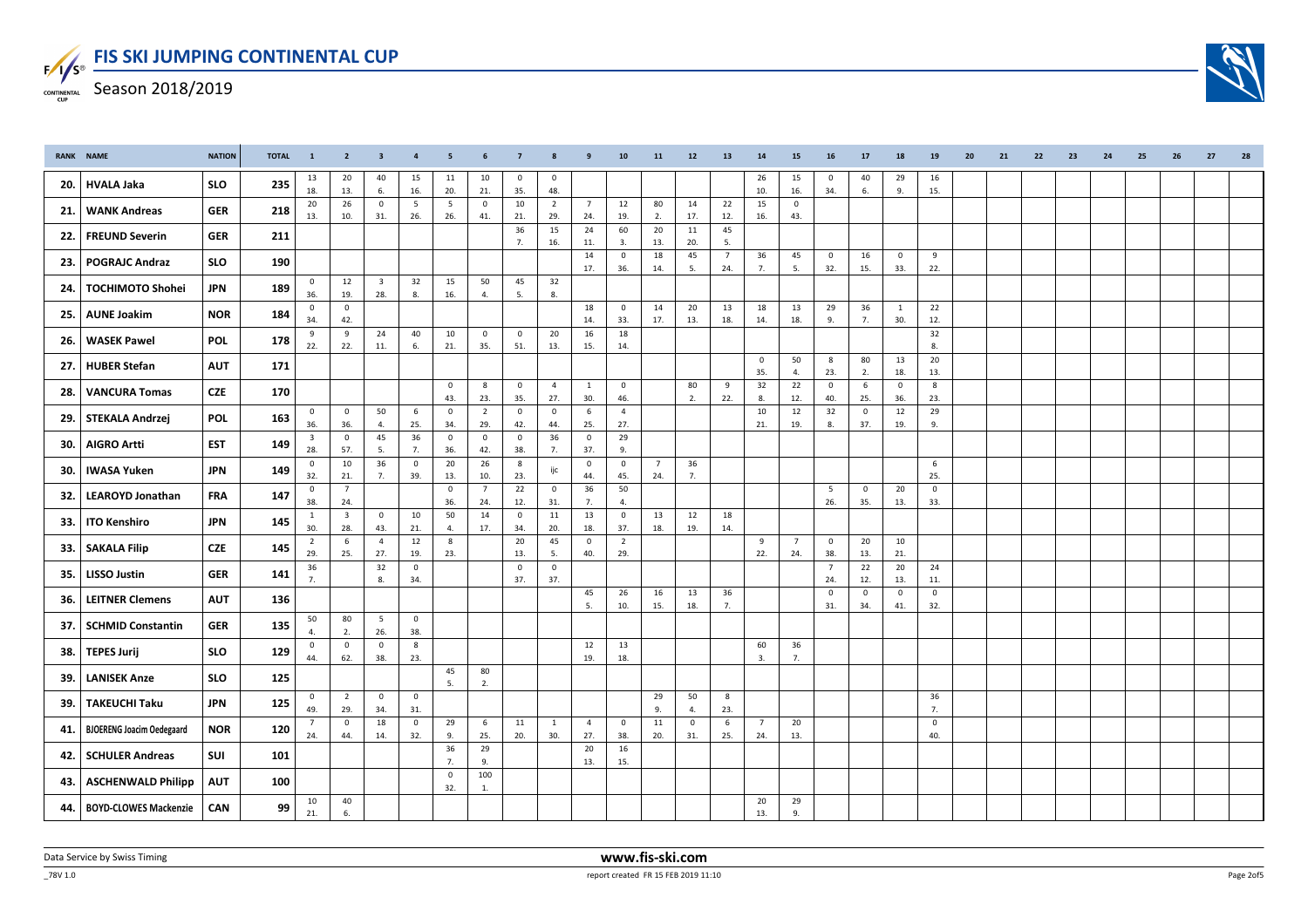

| RANK | <b>NAME</b>                      | <b>NATION</b> | <b>TOTAL</b> | $\mathbf{1}$                   | $\overline{2}$                 | $\overline{\mathbf{3}}$        | $\overline{4}$      | - 5                | 6                     | $\overline{7}$          | 8                     | 9                      | 10                     | 11                    | 12                  | 13                     | 14                    | 15                     | 16                    | 17                 | 18                 | 19                 | 20 | 21 | 22 | 23 | 24 | 25 | 26 | 27 | 28 |
|------|----------------------------------|---------------|--------------|--------------------------------|--------------------------------|--------------------------------|---------------------|--------------------|-----------------------|-------------------------|-----------------------|------------------------|------------------------|-----------------------|---------------------|------------------------|-----------------------|------------------------|-----------------------|--------------------|--------------------|--------------------|----|----|----|----|----|----|----|----|----|
| 20.  | <b>HVALA Jaka</b>                | <b>SLO</b>    | 235          | 13                             | 20                             | 40                             | 15                  | 11                 | 10                    | $\mathbf{0}$            | $\mathbf 0$           |                        |                        |                       |                     |                        | 26                    | 15                     | $\overline{0}$        | 40                 | 29                 | 16                 |    |    |    |    |    |    |    |    |    |
|      |                                  |               |              | 18.                            | 13.                            | 6.                             | 16.                 | 20.                | 21.                   | 35.                     | 48.                   |                        |                        |                       |                     |                        | 10.                   | 16.                    | 34.                   | 6.                 | 9.                 | 15.                |    |    |    |    |    |    |    |    |    |
| 21.  | <b>WANK Andreas</b>              | <b>GER</b>    | 218          | 20<br>13.                      | 26<br>10.                      | $\mathbf 0$<br>31.             | 5<br>26.            | 5<br>26.           | $\mathsf 0$<br>41.    | 10<br>21.               | $\overline{2}$<br>29. | $7\overline{ }$<br>24. | 12<br>19.              | 80<br>2.              | 14<br>17.           | 22<br>12.              | 15<br>16.             | $\mathsf 0$<br>43.     |                       |                    |                    |                    |    |    |    |    |    |    |    |    |    |
|      |                                  |               |              |                                |                                |                                |                     |                    |                       | 36                      | 15                    | 24                     | 60                     | 20                    | 11                  | 45                     |                       |                        |                       |                    |                    |                    |    |    |    |    |    |    |    |    |    |
| 22.  | <b>FREUND Severin</b>            | <b>GER</b>    | 211          |                                |                                |                                |                     |                    |                       | 7.                      | 16.                   | 11.                    | 3.                     | 13.                   | 20.                 | 5.                     |                       |                        |                       |                    |                    |                    |    |    |    |    |    |    |    |    |    |
| 23.  | <b>POGRAJC Andraz</b>            | <b>SLO</b>    | 190          |                                |                                |                                |                     |                    |                       |                         |                       | $14\,$<br>17.          | $\mathbf 0$<br>36.     | 18<br>14.             | 45<br>5.            | $7\overline{ }$<br>24. | 36<br>7.              | 45<br>5.               | $\overline{0}$<br>32. | 16<br>15.          | $\mathbf 0$<br>33. | 9<br>22.           |    |    |    |    |    |    |    |    |    |
| 24.  | <b>TOCHIMOTO Shohei</b>          | <b>JPN</b>    | 189          | $\mathbf{0}$<br>36.            | 12<br>19.                      | $\overline{\mathbf{3}}$<br>28. | 32<br>8.            | 15<br>16.          | 50<br>4.              | 45<br>5.                | 32<br>8.              |                        |                        |                       |                     |                        |                       |                        |                       |                    |                    |                    |    |    |    |    |    |    |    |    |    |
| 25.  | <b>AUNE Joakim</b>               | <b>NOR</b>    | 184          | $\mathbf 0$<br>34.             | $\mathsf 0$<br>42.             |                                |                     |                    |                       |                         |                       | 18<br>14.              | $\mathbf 0$<br>33.     | 14<br>17.             | 20<br>13.           | 13<br>18.              | 18<br>14.             | 13<br>18.              | 29<br>9.              | 36<br>7.           | 1<br>30.           | 22<br>12.          |    |    |    |    |    |    |    |    |    |
| 26.  | <b>WASEK Pawel</b>               | POL           | 178          | 9<br>22.                       | 9<br>22.                       | 24<br>11.                      | 40<br>6.            | 10<br>21.          | $\mathbf 0$<br>35.    | $\overline{0}$<br>51.   | 20<br>13.             | 16<br>15.              | 18<br>14.              |                       |                     |                        |                       |                        |                       |                    |                    | 32<br>8.           |    |    |    |    |    |    |    |    |    |
| 27.  | <b>HUBER Stefan</b>              | <b>AUT</b>    | 171          |                                |                                |                                |                     |                    |                       |                         |                       |                        |                        |                       |                     |                        | $\mathbf 0$<br>35.    | 50<br>4.               | 8<br>23.              | 80<br>2.           | 13<br>18.          | 20<br>13.          |    |    |    |    |    |    |    |    |    |
| 28.  | <b>VANCURA Tomas</b>             | <b>CZE</b>    | 170          |                                |                                |                                |                     | $\mathbf 0$<br>43. | 8<br>23.              | $\overline{0}$<br>35.   | $\overline{4}$<br>27. | $\overline{1}$<br>30.  | $\circ$<br>46.         |                       | 80<br>2.            | 9<br>22.               | 32<br>8.              | 22<br>12.              | $\overline{0}$<br>40. | 6<br>25.           | $\mathbf 0$<br>36. | 8<br>23.           |    |    |    |    |    |    |    |    |    |
| 29.  | <b>STEKALA Andrzej</b>           | <b>POL</b>    | 163          | $\mathbf 0$<br>36.             | $\overline{0}$<br>36.          | 50<br>4.                       | 6<br>25.            | $\mathbf 0$<br>34. | $\overline{2}$<br>29. | $\overline{0}$<br>42.   | $\circ$<br>44.        | 6<br>25.               | $\overline{4}$<br>27.  |                       |                     |                        | 10<br>21.             | 12<br>19.              | 32<br>8.              | $\mathbf 0$<br>37. | 12<br>19.          | 29<br>9.           |    |    |    |    |    |    |    |    |    |
| 30.  | <b>AIGRO Artti</b>               | <b>EST</b>    | 149          | $\overline{\mathbf{3}}$<br>28. | $\mathbf{0}$<br>57.            | 45<br>5.                       | 36<br>7.            | $\mathsf 0$<br>36. | $\mathbf 0$<br>42.    | $\mathbf 0$<br>38.      | 36<br>7.              | $\overline{0}$<br>37.  | 29<br>9.               |                       |                     |                        |                       |                        |                       |                    |                    |                    |    |    |    |    |    |    |    |    |    |
| 30.  | <b>IWASA Yuken</b>               | <b>JPN</b>    | 149          | $\mathbf{0}$<br>32.            | 10<br>21.                      | 36<br>7.                       | $\mathsf 0$<br>39.  | $20\,$<br>13.      | 26<br>10.             | $\boldsymbol{8}$<br>23. | ijc                   | $\mathbf 0$<br>44.     | $\mathsf 0$<br>45.     | $\overline{7}$<br>24. | 36<br>7.            |                        |                       |                        |                       |                    |                    | $\,$ 6 $\,$<br>25. |    |    |    |    |    |    |    |    |    |
| 32.  | <b>LEAROYD Jonathan</b>          | FRA           | 147          | $\mathbf 0$<br>38.             | $7\overline{ }$<br>24.         |                                |                     | $\mathbf 0$<br>36. | $\overline{7}$<br>24. | 22<br>12.               | $\circ$<br>31.        | 36<br>7.               | 50<br>$\overline{4}$ . |                       |                     |                        |                       |                        | $5^{\circ}$<br>26.    | $\mathbf 0$<br>35. | 20<br>13.          | $\Omega$<br>33.    |    |    |    |    |    |    |    |    |    |
| 33.  | <b>ITO Kenshiro</b>              | <b>JPN</b>    | 145          | <sup>1</sup><br>30.            | $\overline{\mathbf{3}}$<br>28. | $\circ$<br>43.                 | 10<br>21.           | 50<br>4.           | 14<br>17.             | $\mathbf 0$<br>34.      | 11<br>20.             | 13<br>18.              | $\mathbf 0$<br>37.     | 13<br>18.             | 12<br>19.           | 18<br>14.              |                       |                        |                       |                    |                    |                    |    |    |    |    |    |    |    |    |    |
| 33.  | <b>SAKALA Filip</b>              | <b>CZE</b>    | 145          | $\overline{2}$<br>29.          | 6<br>25.                       | $\overline{4}$<br>27.          | 12<br>19.           | 8<br>23.           |                       | 20<br>13.               | 45<br>5.              | $\mathsf 0$<br>40.     | $\overline{2}$<br>29.  |                       |                     |                        | 9<br>22.              | $7\overline{ }$<br>24. | $\overline{0}$<br>38. | 20<br>13.          | 10<br>21.          |                    |    |    |    |    |    |    |    |    |    |
| 35.  | <b>LISSO Justin</b>              | <b>GER</b>    | 141          | 36<br>7 <sub>1</sub>           |                                | 32<br>8.                       | $\mathbf 0$<br>34.  |                    |                       | $\mathbf 0$<br>37.      | $\circ$<br>37.        |                        |                        |                       |                     |                        |                       |                        | $\overline{7}$<br>24. | 22<br>12.          | 20<br>13.          | 24<br>11.          |    |    |    |    |    |    |    |    |    |
| 36.  | <b>LEITNER Clemens</b>           | <b>AUT</b>    | 136          |                                |                                |                                |                     |                    |                       |                         |                       | 45<br>5.               | 26<br>10.              | 16<br>15.             | 13<br>18.           | 36<br>7.               |                       |                        | $\mathbf 0$<br>31.    | $\mathbf 0$<br>34. | $\mathbf 0$<br>41. | $\mathbf 0$<br>32. |    |    |    |    |    |    |    |    |    |
| 37.  | <b>SCHMID Constantin</b>         | <b>GER</b>    | 135          | 50<br>4.                       | 80<br>2.                       | $5\overline{5}$<br>26.         | $\mathbf 0$<br>38.  |                    |                       |                         |                       |                        |                        |                       |                     |                        |                       |                        |                       |                    |                    |                    |    |    |    |    |    |    |    |    |    |
| 38.  | <b>TEPES Jurij</b>               | <b>SLO</b>    | 129          | $\overline{0}$<br>44.          | $\mathsf 0$<br>62.             | $\overline{0}$<br>38.          | 8<br>23.            |                    |                       |                         |                       | 12<br>19.              | 13<br>18.              |                       |                     |                        | 60<br>3.              | 36<br>7.               |                       |                    |                    |                    |    |    |    |    |    |    |    |    |    |
| 39.  | <b>LANISEK Anze</b>              | <b>SLO</b>    | 125          |                                |                                |                                |                     | 45<br>5.           | 80<br>2.              |                         |                       |                        |                        |                       |                     |                        |                       |                        |                       |                    |                    |                    |    |    |    |    |    |    |    |    |    |
| 39.  | <b>TAKEUCHI Taku</b>             | <b>JPN</b>    | 125          | $\mathbf{0}$<br>49.            | $\overline{2}$<br>29.          | $\mathbf 0$<br>34.             | $\mathbf{0}$<br>31. |                    |                       |                         |                       |                        |                        | 29<br>9.              | 50<br>4.            | 8<br>23.               |                       |                        |                       |                    |                    | 36<br>7.           |    |    |    |    |    |    |    |    |    |
| 41.  | <b>BJOERENG Joacim Oedegaard</b> | <b>NOR</b>    | 120          | $\overline{7}$<br>24.          | $\mathbf 0$<br>44.             | 18<br>14.                      | $\mathbf 0$<br>32.  | 29<br>9.           | 6<br>25.              | 11<br>20.               | $\overline{1}$<br>30. | $\overline{4}$<br>27.  | $\circ$<br>38.         | 11<br>20.             | $\mathbf{0}$<br>31. | 6<br>25.               | $\overline{7}$<br>24. | 20<br>13.              |                       |                    |                    | $\mathbf 0$<br>40. |    |    |    |    |    |    |    |    |    |
| 42.  | <b>SCHULER Andreas</b>           | SUI           | 101          |                                |                                |                                |                     | 36<br>7.           | 29<br>9.              |                         |                       | 20<br>13.              | 16<br>15.              |                       |                     |                        |                       |                        |                       |                    |                    |                    |    |    |    |    |    |    |    |    |    |
| 43.  | <b>ASCHENWALD Philipp</b>        | <b>AUT</b>    | 100          |                                |                                |                                |                     | $\mathbf 0$<br>32. | 100<br>1.             |                         |                       |                        |                        |                       |                     |                        |                       |                        |                       |                    |                    |                    |    |    |    |    |    |    |    |    |    |
| 44.  | <b>BOYD-CLOWES Mackenzie</b>     | CAN           | 99           | 10<br>21.                      | 40<br>6.                       |                                |                     |                    |                       |                         |                       |                        |                        |                       |                     |                        | 20<br>13.             | 29<br>9.               |                       |                    |                    |                    |    |    |    |    |    |    |    |    |    |

 $-78V 1.0$ 



report created FR 15 FEB 2019 11:10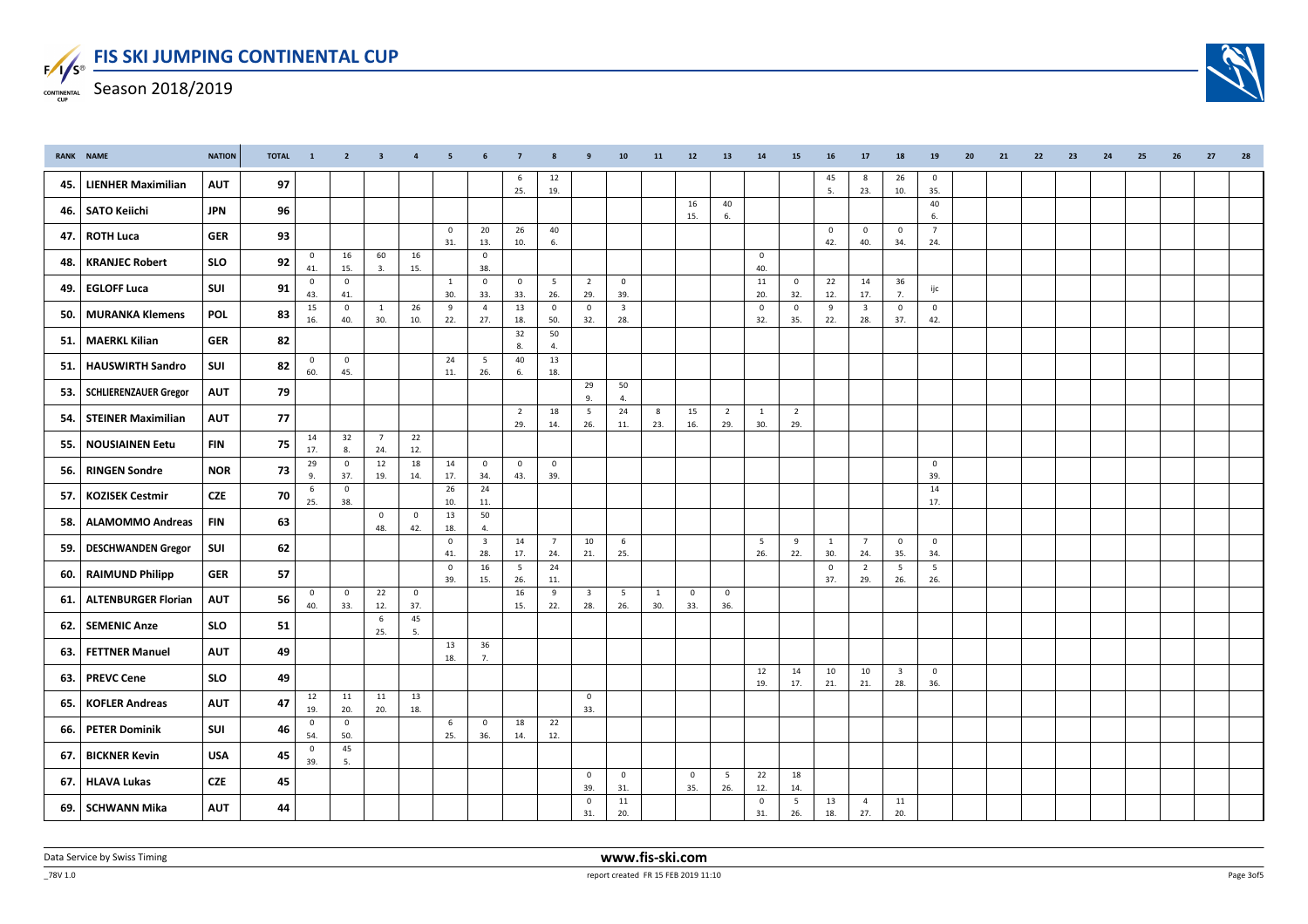

|     | RANK NAME                  | <b>NATION</b> | <b>TOTAL</b> | $\mathbf{1}$          |                                | 2 3 4                 |                    | - 5                   | 6                              | $\sim$ 7 $\sim$        | - 8                    | - 9                            | 10                             | 11       | 12                    | - 13                  | 14                     | 15                     | 16                    | 17                             | 18                             | 19                     | - 20 | 21 | 22 | 23 | 24 | 25 | - 26 | - 27 | - 28 |
|-----|----------------------------|---------------|--------------|-----------------------|--------------------------------|-----------------------|--------------------|-----------------------|--------------------------------|------------------------|------------------------|--------------------------------|--------------------------------|----------|-----------------------|-----------------------|------------------------|------------------------|-----------------------|--------------------------------|--------------------------------|------------------------|------|----|----|----|----|----|------|------|------|
| 45. | <b>LIENHER Maximilian</b>  | <b>AUT</b>    | 97           |                       |                                |                       |                    |                       |                                | 6<br>25.               | 12<br>19.              |                                |                                |          |                       |                       |                        |                        | 45<br>5.              | 8<br>23.                       | 26<br>10.                      | $\overline{0}$<br>35.  |      |    |    |    |    |    |      |      |      |
| 46. | <b>SATO Keiichi</b>        | <b>JPN</b>    | 96           |                       |                                |                       |                    |                       |                                |                        |                        |                                |                                |          | 16<br>15.             | 40<br>6.              |                        |                        |                       |                                |                                | 40<br>6.               |      |    |    |    |    |    |      |      |      |
| 47. | <b>ROTH Luca</b>           | <b>GER</b>    | 93           |                       |                                |                       |                    | $\mathbf{0}$<br>31.   | 20<br>13.                      | 26<br>10.              | 40<br>6.               |                                |                                |          |                       |                       |                        |                        | $\overline{0}$<br>42. | $\overline{0}$<br>40.          | $\overline{0}$<br>34.          | $\overline{7}$<br>24.  |      |    |    |    |    |    |      |      |      |
| 48. | <b>KRANJEC Robert</b>      | <b>SLO</b>    | 92           | $\mathsf 0$<br>41.    | 16<br>15.                      | 60<br>3.              | 16<br>15.          |                       | $\mathsf 0$<br>38.             |                        |                        |                                |                                |          |                       |                       | $\mathbf 0$<br>40.     |                        |                       |                                |                                |                        |      |    |    |    |    |    |      |      |      |
| 49. | <b>EGLOFF Luca</b>         | <b>SUI</b>    | 91           | $\overline{0}$<br>43. | $\mathsf 0$<br>41.             |                       |                    | $\overline{1}$<br>30. | $\mathbf 0$<br>33.             | $\circ$<br>33.         | 5<br>26.               | $\overline{2}$<br>29.          | $\overline{0}$<br>39.          |          |                       |                       | 11<br>20.              | $\circ$<br>32.         | 22<br>12.             | 14<br>17.                      | 36<br>7.                       | ijc                    |      |    |    |    |    |    |      |      |      |
| 50. | <b>MURANKA Klemens</b>     | <b>POL</b>    | 83           | 15<br>16.             | $\overline{\mathbf{0}}$<br>40. | <sup>1</sup><br>30.   | 26<br>10.          | 9<br>22.              | $\overline{4}$<br>27.          | 13<br>18.              | $\overline{0}$<br>50.  | $\overline{0}$<br>32.          | $\overline{\mathbf{3}}$<br>28. |          |                       |                       | $\mathbf 0$<br>32.     | $\mathbf 0$<br>35.     | 9<br>22.              | $\overline{\mathbf{3}}$<br>28. | $\mathbf 0$<br>37.             | $\mathbf 0$<br>42.     |      |    |    |    |    |    |      |      |      |
| 51. | <b>MAERKL Kilian</b>       | <b>GER</b>    | 82           |                       |                                |                       |                    |                       |                                | 32<br>8.               | 50<br>4.               |                                |                                |          |                       |                       |                        |                        |                       |                                |                                |                        |      |    |    |    |    |    |      |      |      |
| 51. | <b>HAUSWIRTH Sandro</b>    | SUI           | 82           | $\overline{0}$<br>60. | $\mathbf 0$<br>45.             |                       |                    | 24<br>11.             | 5<br>26.                       | 40<br>6.               | 13<br>18.              |                                |                                |          |                       |                       |                        |                        |                       |                                |                                |                        |      |    |    |    |    |    |      |      |      |
| 53. | SCHLIERENZAUER Gregor      | <b>AUT</b>    | 79           |                       |                                |                       |                    |                       |                                |                        |                        | 29<br>9.                       | 50<br>4.                       |          |                       |                       |                        |                        |                       |                                |                                |                        |      |    |    |    |    |    |      |      |      |
| 54. | <b>STEINER Maximilian</b>  | <b>AUT</b>    | 77           |                       |                                |                       |                    |                       |                                | $\overline{2}$<br>29.  | 18<br>14.              | 5<br>26.                       | 24<br>11.                      | 8<br>23. | 15<br>16.             | $\overline{2}$<br>29. | 1<br>30.               | $\overline{2}$<br>29.  |                       |                                |                                |                        |      |    |    |    |    |    |      |      |      |
| 55. | <b>NOUSIAINEN Eetu</b>     | <b>FIN</b>    | 75           | 14<br>17.             | 32<br>8.                       | $\overline{7}$<br>24. | 22<br>12.          |                       |                                |                        |                        |                                |                                |          |                       |                       |                        |                        |                       |                                |                                |                        |      |    |    |    |    |    |      |      |      |
| 56. | <b>RINGEN Sondre</b>       | <b>NOR</b>    | 73           | 29<br>9.              | $\overline{\mathbf{0}}$<br>37. | 12<br>19.             | 18<br>14.          | 14<br>17.             | $\mathbf 0$<br>34.             | $\overline{0}$<br>43.  | $\overline{0}$<br>39.  |                                |                                |          |                       |                       |                        |                        |                       |                                |                                | $\mathbf 0$<br>39.     |      |    |    |    |    |    |      |      |      |
| 57. | <b>KOZISEK Cestmir</b>     | <b>CZE</b>    | 70           | 6<br>25.              | $\mathsf 0$<br>38.             |                       |                    | 26<br>10.             | 24<br>11.                      |                        |                        |                                |                                |          |                       |                       |                        |                        |                       |                                |                                | 14<br>17.              |      |    |    |    |    |    |      |      |      |
| 58. | <b>ALAMOMMO Andreas</b>    | <b>FIN</b>    | 63           |                       |                                | $\overline{0}$<br>48. | $\mathbf 0$<br>42. | 13<br>18.             | 50<br>4.                       |                        |                        |                                |                                |          |                       |                       |                        |                        |                       |                                |                                |                        |      |    |    |    |    |    |      |      |      |
| 59. | <b>DESCHWANDEN Gregor</b>  | SUI           | 62           |                       |                                |                       |                    | $\overline{0}$<br>41. | $\overline{\mathbf{3}}$<br>28. | 14<br>17.              | $7\overline{ }$<br>24. | 10<br>21.                      | 6<br>25.                       |          |                       |                       | $5\overline{5}$<br>26. | 9<br>22.               | $\mathbf{1}$<br>30.   | $7\overline{ }$<br>24.         | $\overline{0}$<br>35.          | $\overline{0}$<br>34.  |      |    |    |    |    |    |      |      |      |
| 60. | <b>RAIMUND Philipp</b>     | <b>GER</b>    | 57           |                       |                                |                       |                    | $\mathbf 0$<br>39.    | 16<br>15.                      | $5\overline{5}$<br>26. | 24<br>11.              |                                |                                |          |                       |                       |                        |                        | $\mathbf 0$<br>37.    | $\overline{2}$<br>29.          | 5<br>26.                       | $5\overline{)}$<br>26. |      |    |    |    |    |    |      |      |      |
| 61  | <b>ALTENBURGER Florian</b> | <b>AUT</b>    | 56           | $\overline{0}$<br>40. | $\overline{\mathbf{0}}$<br>33. | 22<br>12.             | $\mathbf 0$<br>37. |                       |                                | 16<br>15.              | 9<br>22.               | $\overline{\mathbf{3}}$<br>28. | $5\overline{5}$<br>26.         | 1<br>30. | $\mathbf 0$<br>33.    | $\mathbf 0$<br>36.    |                        |                        |                       |                                |                                |                        |      |    |    |    |    |    |      |      |      |
| 62. | <b>SEMENIC Anze</b>        | <b>SLO</b>    | 51           |                       |                                | 6<br>25.              | 45<br>5.           |                       |                                |                        |                        |                                |                                |          |                       |                       |                        |                        |                       |                                |                                |                        |      |    |    |    |    |    |      |      |      |
| 63. | <b>FETTNER Manuel</b>      | <b>AUT</b>    | 49           |                       |                                |                       |                    | 13<br>18.             | 36<br>7.                       |                        |                        |                                |                                |          |                       |                       |                        |                        |                       |                                |                                |                        |      |    |    |    |    |    |      |      |      |
| 63. | <b>PREVC Cene</b>          | <b>SLO</b>    | 49           |                       |                                |                       |                    |                       |                                |                        |                        |                                |                                |          |                       |                       | 12<br>19.              | 14<br>17.              | 10<br>21.             | 10<br>21.                      | $\overline{\mathbf{3}}$<br>28. | $\mathbf 0$<br>36.     |      |    |    |    |    |    |      |      |      |
| 65. | <b>KOFLER Andreas</b>      | <b>AUT</b>    | 47           | 12<br>19.             | 11<br>20.                      | 11<br>20.             | 13<br>18.          |                       |                                |                        |                        | $\overline{0}$<br>33.          |                                |          |                       |                       |                        |                        |                       |                                |                                |                        |      |    |    |    |    |    |      |      |      |
| 66. | <b>PETER Dominik</b>       | SUI           | 46           | $\overline{0}$<br>54. | $\mathbf 0$<br>50.             |                       |                    | 6<br>25.              | $\mathbf{0}$<br>36.            | 18<br>14.              | 22<br>12.              |                                |                                |          |                       |                       |                        |                        |                       |                                |                                |                        |      |    |    |    |    |    |      |      |      |
| 67. | <b>BICKNER Kevin</b>       | <b>USA</b>    | 45           | $\mathbf{0}$<br>39.   | 45<br>5.                       |                       |                    |                       |                                |                        |                        |                                |                                |          |                       |                       |                        |                        |                       |                                |                                |                        |      |    |    |    |    |    |      |      |      |
| 67. | HLAVA Lukas                | <b>CZE</b>    | 45           |                       |                                |                       |                    |                       |                                |                        |                        | $\overline{\mathbf{0}}$<br>39. | $\overline{0}$<br>31.          |          | $\overline{0}$<br>35. | 5<br>26.              | 22<br>12.              | 18<br>14.              |                       |                                |                                |                        |      |    |    |    |    |    |      |      |      |
| 69. | <b>SCHWANN Mika</b>        | <b>AUT</b>    | 44           |                       |                                |                       |                    |                       |                                |                        |                        | $\mathbf 0$<br>31.             | 11<br>20.                      |          |                       |                       | $\mathsf 0$<br>31.     | $5\phantom{.0}$<br>26. | 13<br>18.             | $\overline{4}$<br>27.          | 11<br>20.                      |                        |      |    |    |    |    |    |      |      |      |



 $-78V 1.0$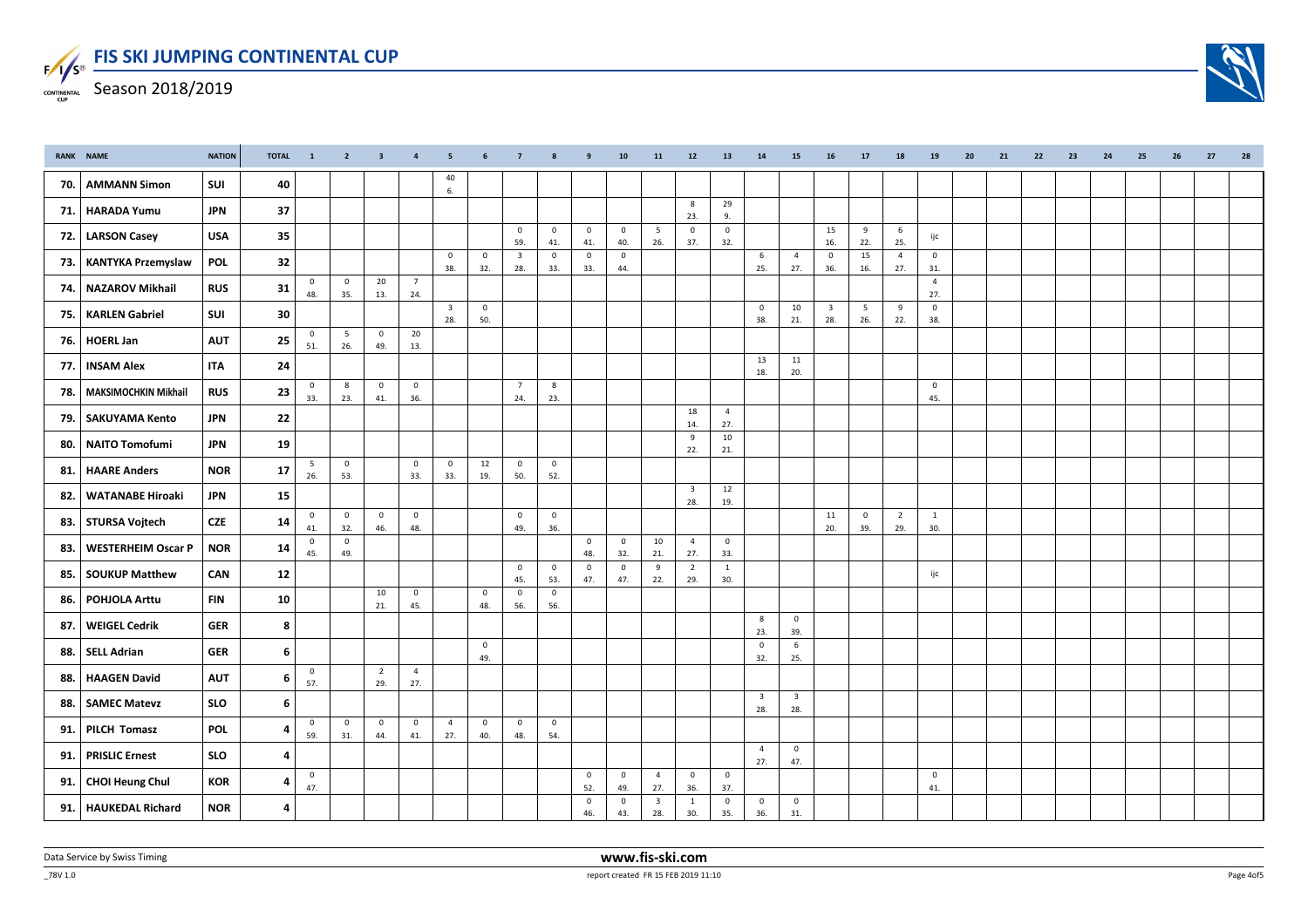|     | RANK NAME                 | <b>NATION</b> | <b>TOTAL</b> | $\blacksquare$        |                                | 2 3 4                 |                       | <b>5. Section</b>              |                    |                                | 6 7 8 9            |                                | 10                    | 11                             | 12                             | 13                    | - 14                           | 15                             | 16 17                          |                       | - 18                  | - 19                  | - 20 | - 21 | - 22 | 23 | - 24 | - 25 | - 26 | -27 | -28 |
|-----|---------------------------|---------------|--------------|-----------------------|--------------------------------|-----------------------|-----------------------|--------------------------------|--------------------|--------------------------------|--------------------|--------------------------------|-----------------------|--------------------------------|--------------------------------|-----------------------|--------------------------------|--------------------------------|--------------------------------|-----------------------|-----------------------|-----------------------|------|------|------|----|------|------|------|-----|-----|
| 70. | <b>AMMANN Simon</b>       | SUI           | 40           |                       |                                |                       |                       | 40<br>6.                       |                    |                                |                    |                                |                       |                                |                                |                       |                                |                                |                                |                       |                       |                       |      |      |      |    |      |      |      |     |     |
| 71. | <b>HARADA Yumu</b>        | <b>JPN</b>    | 37           |                       |                                |                       |                       |                                |                    |                                |                    |                                |                       |                                | 8<br>23.                       | 29<br>9.              |                                |                                |                                |                       |                       |                       |      |      |      |    |      |      |      |     |     |
| 72. | <b>LARSON Casey</b>       | <b>USA</b>    | 35           |                       |                                |                       |                       |                                |                    | $\overline{0}$<br>59.          | $\mathbf 0$<br>41. | $\overline{0}$<br>41.          | $\circ$<br>40.        | 5<br>26.                       | $\mathbf 0$<br>37.             | $\overline{0}$<br>32. |                                |                                | 15<br>16.                      | 9<br>22.              | 6<br>25.              | ijc                   |      |      |      |    |      |      |      |     |     |
| 73. | <b>KANTYKA Przemyslaw</b> | POL           | 32           |                       |                                |                       |                       | $\mathbf 0$<br>38.             | $\mathbf 0$<br>32. | $\overline{\mathbf{3}}$<br>28. | $\mathsf 0$<br>33. | $\mathbf 0$<br>33.             | $\mathbf 0$<br>44.    |                                |                                |                       | 6<br>25.                       | $\overline{4}$<br>27.          | $\overline{0}$<br>36.          | 15<br>16.             | $\overline{4}$<br>27. | $\mathbf 0$<br>31.    |      |      |      |    |      |      |      |     |     |
| 74. | <b>NAZAROV Mikhail</b>    | <b>RUS</b>    | 31           | $\circ$<br>48.        | $\mathbf 0$<br>35.             | 20<br>13.             | $\overline{7}$<br>24. |                                |                    |                                |                    |                                |                       |                                |                                |                       |                                |                                |                                |                       |                       | $\overline{4}$<br>27. |      |      |      |    |      |      |      |     |     |
| 75. | <b>KARLEN Gabriel</b>     | SUI           | 30           |                       |                                |                       |                       | $\overline{\mathbf{3}}$<br>28. | $\mathbf 0$<br>50. |                                |                    |                                |                       |                                |                                |                       | $\mathbf 0$<br>38.             | 10<br>21.                      | $\overline{\mathbf{3}}$<br>28. | 5<br>26.              | 9<br>22.              | $\mathbf 0$<br>38.    |      |      |      |    |      |      |      |     |     |
| 76. | <b>HOERL Jan</b>          | <b>AUT</b>    | 25           | $\overline{0}$<br>51. | 5<br>26.                       | $\mathbf 0$<br>49.    | 20<br>13.             |                                |                    |                                |                    |                                |                       |                                |                                |                       |                                |                                |                                |                       |                       |                       |      |      |      |    |      |      |      |     |     |
| 77. | <b>INSAM Alex</b>         | <b>ITA</b>    | 24           |                       |                                |                       |                       |                                |                    |                                |                    |                                |                       |                                |                                |                       | 13<br>18.                      | 11<br>20.                      |                                |                       |                       |                       |      |      |      |    |      |      |      |     |     |
| 78. | MAKSIMOCHKIN Mikhail      | <b>RUS</b>    | 23           | $\overline{0}$<br>33. | 8<br>23.                       | $\overline{0}$<br>41. | $\mathbf 0$<br>36.    |                                |                    | $7\overline{ }$<br>24.         | 8<br>23.           |                                |                       |                                |                                |                       |                                |                                |                                |                       |                       | $\mathbf 0$<br>45.    |      |      |      |    |      |      |      |     |     |
| 79. | <b>SAKUYAMA Kento</b>     | <b>JPN</b>    | 22           |                       |                                |                       |                       |                                |                    |                                |                    |                                |                       |                                | 18<br>14.                      | $\overline{4}$<br>27. |                                |                                |                                |                       |                       |                       |      |      |      |    |      |      |      |     |     |
| 80. | NAITO Tomofumi            | <b>JPN</b>    | 19           |                       |                                |                       |                       |                                |                    |                                |                    |                                |                       |                                | 9<br>22.                       | 10<br>21.             |                                |                                |                                |                       |                       |                       |      |      |      |    |      |      |      |     |     |
| 81. | <b>HAARE Anders</b>       | <b>NOR</b>    | 17           | 5<br>26.              | $\mathbf 0$<br>53.             |                       | $\mathsf 0$<br>33.    | $\mathbf{0}$<br>33.            | 12<br>19.          | $\overline{0}$<br>50.          | $\circ$<br>52.     |                                |                       |                                |                                |                       |                                |                                |                                |                       |                       |                       |      |      |      |    |      |      |      |     |     |
| 82. | <b>WATANABE Hiroaki</b>   | <b>JPN</b>    | 15           |                       |                                |                       |                       |                                |                    |                                |                    |                                |                       |                                | $\overline{\mathbf{3}}$<br>28. | 12<br>19.             |                                |                                |                                |                       |                       |                       |      |      |      |    |      |      |      |     |     |
| 83. | STURSA Vojtech            | <b>CZE</b>    | 14           | $\overline{0}$<br>41. | $\mathbf 0$<br>32.             | $\mathbf 0$<br>46.    | $\mathbf 0$<br>48.    |                                |                    | $\overline{0}$<br>49.          | $\circ$<br>36.     |                                |                       |                                |                                |                       |                                |                                | 11<br>20.                      | $\overline{0}$<br>39. | $\overline{2}$<br>29. | $\mathbf{1}$<br>30.   |      |      |      |    |      |      |      |     |     |
| 83. | <b>WESTERHEIM Oscar P</b> | <b>NOR</b>    | 14           | $\mathbf{0}$<br>45.   | $\mathbf{0}$<br>49.            |                       |                       |                                |                    |                                |                    | $\overline{0}$<br>48.          | $\mathbf 0$<br>32.    | 10<br>21.                      | $\overline{4}$<br>27.          | $\mathbf{0}$<br>33.   |                                |                                |                                |                       |                       |                       |      |      |      |    |      |      |      |     |     |
| 85. | <b>SOUKUP Matthew</b>     | CAN           | 12           |                       |                                |                       |                       |                                |                    | $\overline{0}$<br>45.          | $\circ$<br>53.     | $\overline{\mathbf{0}}$<br>47. | $\mathbf 0$<br>47.    | 9<br>22.                       | $\overline{2}$<br>29.          | <sup>1</sup><br>30.   |                                |                                |                                |                       |                       | ijc                   |      |      |      |    |      |      |      |     |     |
| 86. | <b>POHJOLA Arttu</b>      | <b>FIN</b>    | ${\bf 10}$   |                       |                                | 10<br>21.             | $\mathbf 0$<br>45.    |                                | $\mathbf 0$<br>48. | $\overline{0}$<br>56.          | $\circ$<br>56.     |                                |                       |                                |                                |                       |                                |                                |                                |                       |                       |                       |      |      |      |    |      |      |      |     |     |
| 87. | <b>WEIGEL Cedrik</b>      | <b>GER</b>    | 8            |                       |                                |                       |                       |                                |                    |                                |                    |                                |                       |                                |                                |                       | 8<br>23.                       | $\overline{0}$<br>39.          |                                |                       |                       |                       |      |      |      |    |      |      |      |     |     |
| 88. | <b>SELL Adrian</b>        | <b>GER</b>    | 6            |                       |                                |                       |                       |                                | $\mathbf 0$<br>49. |                                |                    |                                |                       |                                |                                |                       | $\mathbf 0$<br>32.             | 6<br>25.                       |                                |                       |                       |                       |      |      |      |    |      |      |      |     |     |
| 88. | <b>HAAGEN David</b>       | <b>AUT</b>    | 6            | $\overline{0}$<br>57. |                                | $\overline{2}$<br>29. | $\overline{4}$<br>27. |                                |                    |                                |                    |                                |                       |                                |                                |                       |                                |                                |                                |                       |                       |                       |      |      |      |    |      |      |      |     |     |
| 88. | <b>SAMEC Matevz</b>       | <b>SLO</b>    | 6            |                       |                                |                       |                       |                                |                    |                                |                    |                                |                       |                                |                                |                       | $\overline{\mathbf{3}}$<br>28. | $\overline{\mathbf{3}}$<br>28. |                                |                       |                       |                       |      |      |      |    |      |      |      |     |     |
| 91. | PILCH Tomasz              | <b>POL</b>    | 4            | $\overline{0}$<br>59. | $\overline{\mathbf{0}}$<br>31. | $\mathbf 0$<br>44.    | $\mathbf{0}$<br>41.   | $\overline{4}$<br>27.          | $\mathbf 0$<br>40. | $\overline{0}$<br>48.          | $\mathbf 0$<br>54. |                                |                       |                                |                                |                       |                                |                                |                                |                       |                       |                       |      |      |      |    |      |      |      |     |     |
| 91. | <b>PRISLIC Ernest</b>     | <b>SLO</b>    | 4            |                       |                                |                       |                       |                                |                    |                                |                    |                                |                       |                                |                                |                       | $\overline{4}$<br>27.          | $\overline{0}$<br>47.          |                                |                       |                       |                       |      |      |      |    |      |      |      |     |     |
|     | 91. CHOI Heung Chul       | <b>KOR</b>    | 4            | $\mathsf 0$<br>47.    |                                |                       |                       |                                |                    |                                |                    | $\overline{\mathbf{0}}$<br>52. | $\circ$<br>49.        | $\overline{4}$<br>27.          | $\mathsf 0$<br>36.             | $\mathbf 0$<br>37.    |                                |                                |                                |                       |                       | $\mathsf 0$<br>41.    |      |      |      |    |      |      |      |     |     |
|     | 91.   HAUKEDAL Richard    | <b>NOR</b>    | 4            |                       |                                |                       |                       |                                |                    |                                |                    | $\mathsf 0$<br>46.             | $\overline{0}$<br>43. | $\overline{\mathbf{3}}$<br>28. | $\mathbf{1}$<br>30.            | $\mathsf 0$<br>35.    | $\overline{0}$<br>36.          | $\mathbf 0$<br>31.             |                                |                       |                       |                       |      |      |      |    |      |      |      |     |     |



 $-78V 1.0$